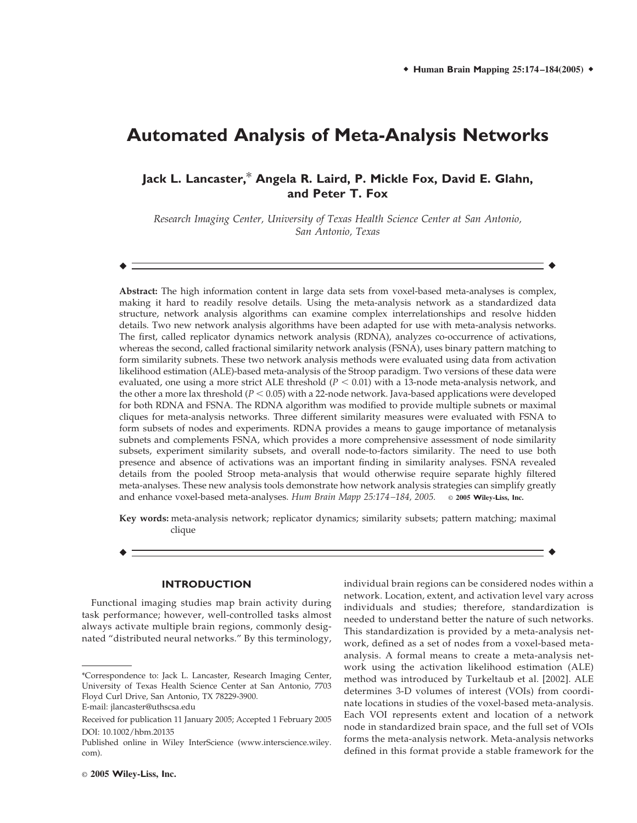# **Automated Analysis of Meta-Analysis Networks**

**Jack L. Lancaster,**\* **Angela R. Laird, P. Mickle Fox, David E. Glahn, and Peter T. Fox**

*Research Imaging Center, University of Texas Health Science Center at San Antonio, San Antonio, Texas*

 $\bullet$  . In the contract of the contract of the contract of the contract of the contract of the contract of the contract of the contract of the contract of the contract of the contract of the contract of the contract of the

**Abstract:** The high information content in large data sets from voxel-based meta-analyses is complex, making it hard to readily resolve details. Using the meta-analysis network as a standardized data structure, network analysis algorithms can examine complex interrelationships and resolve hidden details. Two new network analysis algorithms have been adapted for use with meta-analysis networks. The first, called replicator dynamics network analysis (RDNA), analyzes co-occurrence of activations, whereas the second, called fractional similarity network analysis (FSNA), uses binary pattern matching to form similarity subnets. These two network analysis methods were evaluated using data from activation likelihood estimation (ALE)-based meta-analysis of the Stroop paradigm. Two versions of these data were evaluated, one using a more strict ALE threshold  $(P < 0.01)$  with a 13-node meta-analysis network, and the other a more lax threshold ( $P < 0.05$ ) with a 22-node network. Java-based applications were developed for both RDNA and FSNA. The RDNA algorithm was modified to provide multiple subnets or maximal cliques for meta-analysis networks. Three different similarity measures were evaluated with FSNA to form subsets of nodes and experiments. RDNA provides a means to gauge importance of metanalysis subnets and complements FSNA, which provides a more comprehensive assessment of node similarity subsets, experiment similarity subsets, and overall node-to-factors similarity. The need to use both presence and absence of activations was an important finding in similarity analyses. FSNA revealed details from the pooled Stroop meta-analysis that would otherwise require separate highly filtered meta-analyses. These new analysis tools demonstrate how network analysis strategies can simplify greatly and enhance voxel-based meta-analyses. *Hum Brain Mapp 25:174–184, 2005.* © **2005 Wiley-Liss, Inc.**

**Key words:** meta-analysis network; replicator dynamics; similarity subsets; pattern matching; maximal clique

 $\blacklozenge$  . In the contract of the contract of the contract of the contract of the contract of the contract of the contract of the contract of the contract of the contract of the contract of the contract of the contract of

## **INTRODUCTION**

Functional imaging studies map brain activity during task performance; however, well-controlled tasks almost always activate multiple brain regions, commonly designated "distributed neural networks." By this terminology, individual brain regions can be considered nodes within a network. Location, extent, and activation level vary across individuals and studies; therefore, standardization is needed to understand better the nature of such networks. This standardization is provided by a meta-analysis network, defined as a set of nodes from a voxel-based metaanalysis. A formal means to create a meta-analysis network using the activation likelihood estimation (ALE) method was introduced by Turkeltaub et al. [2002]. ALE determines 3-D volumes of interest (VOIs) from coordinate locations in studies of the voxel-based meta-analysis. Each VOI represents extent and location of a network node in standardized brain space, and the full set of VOIs forms the meta-analysis network. Meta-analysis networks defined in this format provide a stable framework for the

<sup>\*</sup>Correspondence to: Jack L. Lancaster, Research Imaging Center, University of Texas Health Science Center at San Antonio, 7703 Floyd Curl Drive, San Antonio, TX 78229-3900.

E-mail: jlancaster@uthscsa.edu

Received for publication 11 January 2005; Accepted 1 February 2005 DOI: 10.1002/hbm.20135

Published online in Wiley InterScience (www.interscience.wiley. com).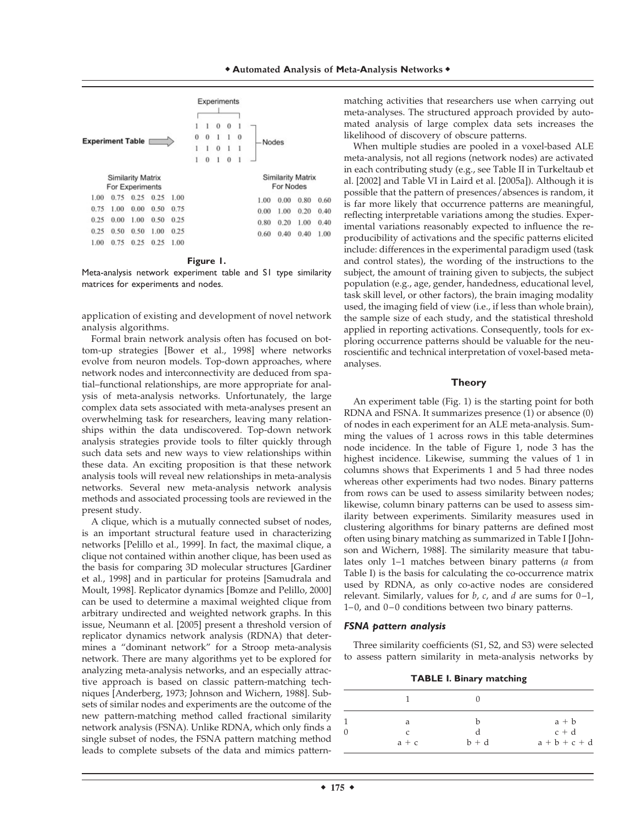

**Figure 1.**

Meta-analysis network experiment table and S1 type similarity matrices for experiments and nodes.

application of existing and development of novel network analysis algorithms.

Formal brain network analysis often has focused on bottom-up strategies [Bower et al., 1998] where networks evolve from neuron models. Top-down approaches, where network nodes and interconnectivity are deduced from spatial–functional relationships, are more appropriate for analysis of meta-analysis networks. Unfortunately, the large complex data sets associated with meta-analyses present an overwhelming task for researchers, leaving many relationships within the data undiscovered. Top-down network analysis strategies provide tools to filter quickly through such data sets and new ways to view relationships within these data. An exciting proposition is that these network analysis tools will reveal new relationships in meta-analysis networks. Several new meta-analysis network analysis methods and associated processing tools are reviewed in the present study.

A clique, which is a mutually connected subset of nodes, is an important structural feature used in characterizing networks [Pelillo et al., 1999]. In fact, the maximal clique, a clique not contained within another clique, has been used as the basis for comparing 3D molecular structures [Gardiner et al., 1998] and in particular for proteins [Samudrala and Moult, 1998]. Replicator dynamics [Bomze and Pelillo, 2000] can be used to determine a maximal weighted clique from arbitrary undirected and weighted network graphs. In this issue, Neumann et al. [2005] present a threshold version of replicator dynamics network analysis (RDNA) that determines a "dominant network" for a Stroop meta-analysis network. There are many algorithms yet to be explored for analyzing meta-analysis networks, and an especially attractive approach is based on classic pattern-matching techniques [Anderberg, 1973; Johnson and Wichern, 1988]. Subsets of similar nodes and experiments are the outcome of the new pattern-matching method called fractional similarity network analysis (FSNA). Unlike RDNA, which only finds a single subset of nodes, the FSNA pattern matching method leads to complete subsets of the data and mimics patternmatching activities that researchers use when carrying out meta-analyses. The structured approach provided by automated analysis of large complex data sets increases the likelihood of discovery of obscure patterns.

When multiple studies are pooled in a voxel-based ALE meta-analysis, not all regions (network nodes) are activated in each contributing study (e.g., see Table II in Turkeltaub et al. [2002] and Table VI in Laird et al. [2005a]). Although it is possible that the pattern of presences/absences is random, it is far more likely that occurrence patterns are meaningful, reflecting interpretable variations among the studies. Experimental variations reasonably expected to influence the reproducibility of activations and the specific patterns elicited include: differences in the experimental paradigm used (task and control states), the wording of the instructions to the subject, the amount of training given to subjects, the subject population (e.g., age, gender, handedness, educational level, task skill level, or other factors), the brain imaging modality used, the imaging field of view (i.e., if less than whole brain), the sample size of each study, and the statistical threshold applied in reporting activations. Consequently, tools for exploring occurrence patterns should be valuable for the neuroscientific and technical interpretation of voxel-based metaanalyses.

#### **Theory**

An experiment table (Fig. 1) is the starting point for both RDNA and FSNA. It summarizes presence (1) or absence (0) of nodes in each experiment for an ALE meta-analysis. Summing the values of 1 across rows in this table determines node incidence. In the table of Figure 1, node 3 has the highest incidence. Likewise, summing the values of 1 in columns shows that Experiments 1 and 5 had three nodes whereas other experiments had two nodes. Binary patterns from rows can be used to assess similarity between nodes; likewise, column binary patterns can be used to assess similarity between experiments. Similarity measures used in clustering algorithms for binary patterns are defined most often using binary matching as summarized in Table I [Johnson and Wichern, 1988]. The similarity measure that tabulates only 1–1 matches between binary patterns (*a* from Table I) is the basis for calculating the co-occurrence matrix used by RDNA, as only co-active nodes are considered relevant. Similarly, values for *b*, *c*, and *d* are sums for 0–1, 1–0, and 0–0 conditions between two binary patterns.

## *FSNA pattern analysis*

Three similarity coefficients (S1, S2, and S3) were selected to assess pattern similarity in meta-analysis networks by

**TABLE I. Binary matching**

|          | a          | h       | $a + b$         |
|----------|------------|---------|-----------------|
| $\theta$ | $\epsilon$ | d       | $c + d$         |
|          | $a + c$    | $b + d$ | $a + b + c + d$ |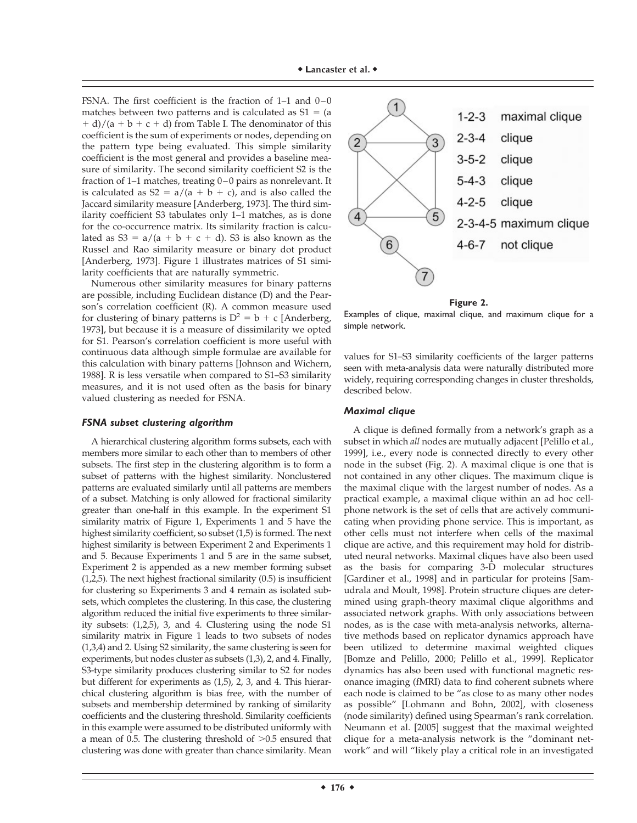FSNA. The first coefficient is the fraction of 1–1 and 0–0 matches between two patterns and is calculated as  $S1 = (a$  $+ d)/(a + b + c + d)$  from Table I. The denominator of this coefficient is the sum of experiments or nodes, depending on the pattern type being evaluated. This simple similarity coefficient is the most general and provides a baseline measure of similarity. The second similarity coefficient S2 is the fraction of 1–1 matches, treating 0–0 pairs as nonrelevant. It is calculated as  $S2 = a/(a + b + c)$ , and is also called the Jaccard similarity measure [Anderberg, 1973]. The third similarity coefficient S3 tabulates only 1–1 matches, as is done for the co-occurrence matrix. Its similarity fraction is calculated as  $S3 = a/(a + b + c + d)$ . S3 is also known as the Russel and Rao similarity measure or binary dot product [Anderberg, 1973]. Figure 1 illustrates matrices of S1 similarity coefficients that are naturally symmetric.

Numerous other similarity measures for binary patterns are possible, including Euclidean distance (D) and the Pearson's correlation coefficient (R). A common measure used for clustering of binary patterns is  $D^2 = b + c$  [Anderberg, 1973], but because it is a measure of dissimilarity we opted for S1. Pearson's correlation coefficient is more useful with continuous data although simple formulae are available for this calculation with binary patterns [Johnson and Wichern, 1988]. R is less versatile when compared to S1–S3 similarity measures, and it is not used often as the basis for binary valued clustering as needed for FSNA.

#### *FSNA subset clustering algorithm*

A hierarchical clustering algorithm forms subsets, each with members more similar to each other than to members of other subsets. The first step in the clustering algorithm is to form a subset of patterns with the highest similarity. Nonclustered patterns are evaluated similarly until all patterns are members of a subset. Matching is only allowed for fractional similarity greater than one-half in this example. In the experiment S1 similarity matrix of Figure 1, Experiments 1 and 5 have the highest similarity coefficient, so subset (1,5) is formed. The next highest similarity is between Experiment 2 and Experiments 1 and 5. Because Experiments 1 and 5 are in the same subset, Experiment 2 is appended as a new member forming subset (1,2,5). The next highest fractional similarity (0.5) is insufficient for clustering so Experiments 3 and 4 remain as isolated subsets, which completes the clustering. In this case, the clustering algorithm reduced the initial five experiments to three similarity subsets: (1,2,5), 3, and 4. Clustering using the node S1 similarity matrix in Figure 1 leads to two subsets of nodes (1,3,4) and 2. Using S2 similarity, the same clustering is seen for experiments, but nodes cluster as subsets (1,3), 2, and 4. Finally, S3-type similarity produces clustering similar to S2 for nodes but different for experiments as (1,5), 2, 3, and 4. This hierarchical clustering algorithm is bias free, with the number of subsets and membership determined by ranking of similarity coefficients and the clustering threshold. Similarity coefficients in this example were assumed to be distributed uniformly with a mean of 0.5. The clustering threshold of  $>0.5$  ensured that clustering was done with greater than chance similarity. Mean



**Figure 2.**

Examples of clique, maximal clique, and maximum clique for a simple network.

values for S1–S3 similarity coefficients of the larger patterns seen with meta-analysis data were naturally distributed more widely, requiring corresponding changes in cluster thresholds, described below.

#### *Maximal clique*

A clique is defined formally from a network's graph as a subset in which *all* nodes are mutually adjacent [Pelillo et al., 1999], i.e., every node is connected directly to every other node in the subset (Fig. 2). A maximal clique is one that is not contained in any other cliques. The maximum clique is the maximal clique with the largest number of nodes. As a practical example, a maximal clique within an ad hoc cellphone network is the set of cells that are actively communicating when providing phone service. This is important, as other cells must not interfere when cells of the maximal clique are active, and this requirement may hold for distributed neural networks. Maximal cliques have also been used as the basis for comparing 3-D molecular structures [Gardiner et al., 1998] and in particular for proteins [Samudrala and Moult, 1998]. Protein structure cliques are determined using graph-theory maximal clique algorithms and associated network graphs. With only associations between nodes, as is the case with meta-analysis networks, alternative methods based on replicator dynamics approach have been utilized to determine maximal weighted cliques [Bomze and Pelillo, 2000; Pelillo et al., 1999]. Replicator dynamics has also been used with functional magnetic resonance imaging (fMRI) data to find coherent subnets where each node is claimed to be "as close to as many other nodes as possible" [Lohmann and Bohn, 2002], with closeness (node similarity) defined using Spearman's rank correlation. Neumann et al. [2005] suggest that the maximal weighted clique for a meta-analysis network is the "dominant network" and will "likely play a critical role in an investigated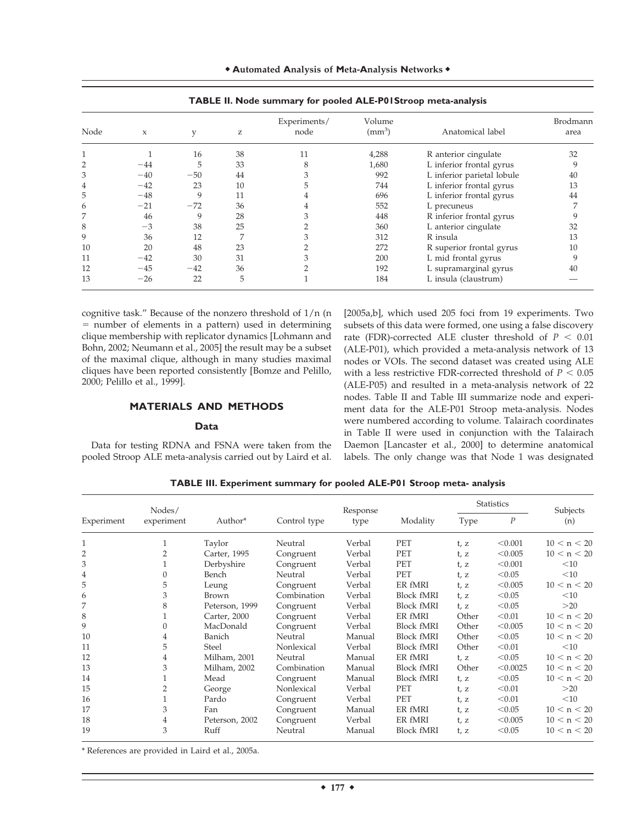|      | <b>I ADLE II. NOGE SUMMARY TOP DOGEG ALE-PUT STROOD META-ANALYSIS</b> |       |    |                      |                        |                            |                  |  |  |  |
|------|-----------------------------------------------------------------------|-------|----|----------------------|------------------------|----------------------------|------------------|--|--|--|
| Node | $\mathsf{X}$                                                          |       | z  | Experiments/<br>node | Volume<br>$\rm (mm^3)$ | Anatomical label           | Brodmann<br>area |  |  |  |
|      |                                                                       | 16    | 38 | 11                   | 4,288                  | R anterior cingulate       | 32               |  |  |  |
|      | $-44$                                                                 | 5     | 33 | 8                    | 1,680                  | L inferior frontal gyrus   | 9                |  |  |  |
| 3    | $-40$                                                                 | $-50$ | 44 |                      | 992                    | L inferior parietal lobule | 40               |  |  |  |
|      | $-42$                                                                 | 23    | 10 |                      | 744                    | L inferior frontal gyrus   | 13               |  |  |  |
| 5    | $-48$                                                                 | 9     | 11 |                      | 696                    | L inferior frontal gyrus   | 44               |  |  |  |
| h    | $-21$                                                                 | $-72$ | 36 |                      | 552                    | L precuneus                |                  |  |  |  |
|      | 46                                                                    | 9     | 28 |                      | 448                    | R inferior frontal gyrus   |                  |  |  |  |
| 8    | $-3$                                                                  | 38    | 25 |                      | 360                    | L anterior cingulate       | 32               |  |  |  |
| 9    | 36                                                                    | 12    |    |                      | 312                    | R insula                   | 13               |  |  |  |
| 10   | 20                                                                    | 48    | 23 |                      | 272                    | R superior frontal gyrus   | 10               |  |  |  |
| 11   | $-42$                                                                 | 30    | 31 |                      | 200                    | L mid frontal gyrus        | 9                |  |  |  |
| 12   | $-45$                                                                 | $-42$ | 36 |                      | 192                    | L supramarginal gyrus      | 40               |  |  |  |
| 13   | $-26$                                                                 | 22    | 5  |                      | 184                    | L insula (claustrum)       |                  |  |  |  |

! **Automated Analysis of Meta-Analysis Networks** !

**TABLE II. Node summary for pooled ALE-P01Stroop meta-analysis**

cognitive task." Because of the nonzero threshold of 1/n (n  $=$  number of elements in a pattern) used in determining clique membership with replicator dynamics [Lohmann and Bohn, 2002; Neumann et al., 2005] the result may be a subset of the maximal clique, although in many studies maximal cliques have been reported consistently [Bomze and Pelillo, 2000; Pelillo et al., 1999].

## **MATERIALS AND METHODS**

#### **Data**

Data for testing RDNA and FSNA were taken from the pooled Stroop ALE meta-analysis carried out by Laird et al.

[2005a,b], which used 205 foci from 19 experiments. Two subsets of this data were formed, one using a false discovery rate (FDR)-corrected ALE cluster threshold of  $P < 0.01$ (ALE-P01), which provided a meta-analysis network of 13 nodes or VOIs. The second dataset was created using ALE with a less restrictive FDR-corrected threshold of  $P < 0.05$ (ALE-P05) and resulted in a meta-analysis network of 22 nodes. Table II and Table III summarize node and experiment data for the ALE-P01 Stroop meta-analysis. Nodes were numbered according to volume. Talairach coordinates in Table II were used in conjunction with the Talairach Daemon [Lancaster et al., 2000] to determine anatomical labels. The only change was that Node 1 was designated

**TABLE III. Experiment summary for pooled ALE-P01 Stroop meta- analysis**

|                | Nodes/         |                |              | Response |                   | <b>Statistics</b> |                  | Subjects    |
|----------------|----------------|----------------|--------------|----------|-------------------|-------------------|------------------|-------------|
| Experiment     | experiment     | Author*        | Control type | type     | Modality          | Type              | $\boldsymbol{P}$ | (n)         |
| 1              |                | Taylor         | Neutral      | Verbal   | PET               | t, z              | < 0.001          | 10 < n < 20 |
| $\overline{2}$ | 2              | Carter, 1995   | Congruent    | Verbal   | PET               | t, z              | < 0.005          | 10 < n < 20 |
| 3              |                | Derbyshire     | Congruent    | Verbal   | PET               | t, z              | < 0.001          | <10         |
| 4              | $\overline{0}$ | Bench          | Neutral      | Verbal   | PET               | t, z              | < 0.05           | $<$ 10      |
| 5              | 5              | Leung          | Congruent    | Verbal   | ER fMRI           | t, z              | < 0.005          | 10 < n < 20 |
| 6              | 3              | Brown          | Combination  | Verbal   | <b>Block fMRI</b> | t, z              | < 0.05           | $<$ 10      |
| 7              | 8              | Peterson, 1999 | Congruent    | Verbal   | <b>Block fMRI</b> | t, z              | < 0.05           | >20         |
| 8              |                | Carter, 2000   | Congruent    | Verbal   | ER fMRI           | Other             | < 0.01           | 10 < n < 20 |
| 9              | $\overline{0}$ | MacDonald      | Congruent    | Verbal   | <b>Block fMRI</b> | Other             | < 0.005          | 10 < n < 20 |
| 10             | 4              | Banich         | Neutral      | Manual   | <b>Block fMRI</b> | Other             | < 0.05           | 10 < n < 20 |
| 11             | 5              | <b>Steel</b>   | Nonlexical   | Verbal   | <b>Block fMRI</b> | Other             | < 0.01           | $<$ 10      |
| 12             | 4              | Milham, 2001   | Neutral      | Manual   | ER fMRI           | t, z              | < 0.05           | 10 < n < 20 |
| 13             | 3              | Milham, 2002   | Combination  | Manual   | <b>Block fMRI</b> | Other             | < 0.0025         | 10 < n < 20 |
| 14             | 1              | Mead           | Congruent    | Manual   | <b>Block fMRI</b> | t, z              | < 0.05           | 10 < n < 20 |
| 15             | 2              | George         | Nonlexical   | Verbal   | <b>PET</b>        | t, z              | < 0.01           | >20         |
| 16             |                | Pardo          | Congruent    | Verbal   | PET               | t, z              | < 0.01           | <10         |
| 17             | 3              | Fan            | Congruent    | Manual   | ER fMRI           | t, z              | < 0.05           | 10 < n < 20 |
| 18             | 4              | Peterson, 2002 | Congruent    | Verbal   | ER fMRI           | t, z              | < 0.005          | 10 < n < 20 |
| 19             | 3              | Ruff           | Neutral      | Manual   | <b>Block fMRI</b> | t, z              | < 0.05           | 10 < n < 20 |

\* References are provided in Laird et al., 2005a.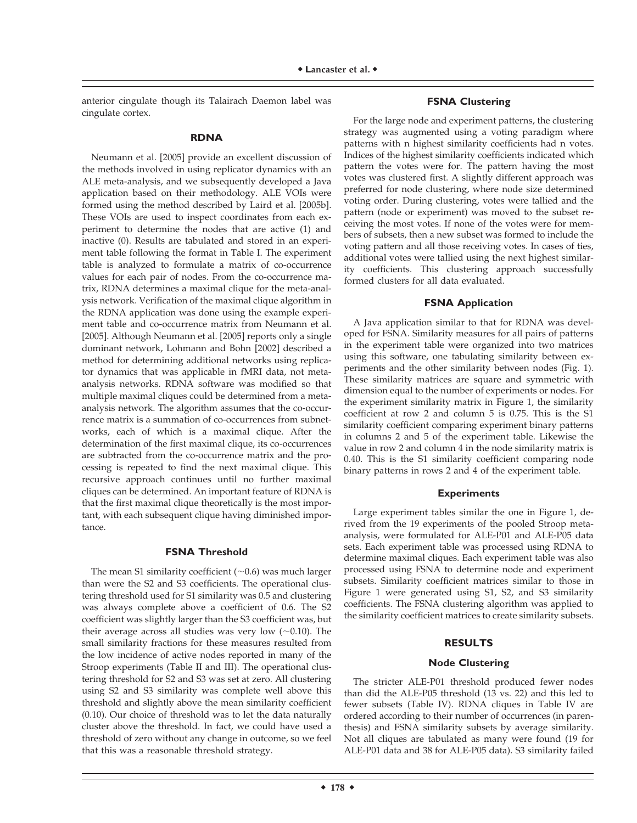anterior cingulate though its Talairach Daemon label was cingulate cortex.

# **RDNA**

Neumann et al. [2005] provide an excellent discussion of the methods involved in using replicator dynamics with an ALE meta-analysis, and we subsequently developed a Java application based on their methodology. ALE VOIs were formed using the method described by Laird et al. [2005b]. These VOIs are used to inspect coordinates from each experiment to determine the nodes that are active (1) and inactive (0). Results are tabulated and stored in an experiment table following the format in Table I. The experiment table is analyzed to formulate a matrix of co-occurrence values for each pair of nodes. From the co-occurrence matrix, RDNA determines a maximal clique for the meta-analysis network. Verification of the maximal clique algorithm in the RDNA application was done using the example experiment table and co-occurrence matrix from Neumann et al. [2005]. Although Neumann et al. [2005] reports only a single dominant network, Lohmann and Bohn [2002] described a method for determining additional networks using replicator dynamics that was applicable in fMRI data, not metaanalysis networks. RDNA software was modified so that multiple maximal cliques could be determined from a metaanalysis network. The algorithm assumes that the co-occurrence matrix is a summation of co-occurrences from subnetworks, each of which is a maximal clique. After the determination of the first maximal clique, its co-occurrences are subtracted from the co-occurrence matrix and the processing is repeated to find the next maximal clique. This recursive approach continues until no further maximal cliques can be determined. An important feature of RDNA is that the first maximal clique theoretically is the most important, with each subsequent clique having diminished importance.

#### **FSNA Threshold**

The mean S1 similarity coefficient  $(\sim 0.6)$  was much larger than were the S2 and S3 coefficients. The operational clustering threshold used for S1 similarity was 0.5 and clustering was always complete above a coefficient of 0.6. The S2 coefficient was slightly larger than the S3 coefficient was, but their average across all studies was very low  $(\sim 0.10)$ . The small similarity fractions for these measures resulted from the low incidence of active nodes reported in many of the Stroop experiments (Table II and III). The operational clustering threshold for S2 and S3 was set at zero. All clustering using S2 and S3 similarity was complete well above this threshold and slightly above the mean similarity coefficient (0.10). Our choice of threshold was to let the data naturally cluster above the threshold. In fact, we could have used a threshold of zero without any change in outcome, so we feel that this was a reasonable threshold strategy.

# **FSNA Clustering**

For the large node and experiment patterns, the clustering strategy was augmented using a voting paradigm where patterns with n highest similarity coefficients had n votes. Indices of the highest similarity coefficients indicated which pattern the votes were for. The pattern having the most votes was clustered first. A slightly different approach was preferred for node clustering, where node size determined voting order. During clustering, votes were tallied and the pattern (node or experiment) was moved to the subset receiving the most votes. If none of the votes were for members of subsets, then a new subset was formed to include the voting pattern and all those receiving votes. In cases of ties, additional votes were tallied using the next highest similarity coefficients. This clustering approach successfully formed clusters for all data evaluated.

# **FSNA Application**

A Java application similar to that for RDNA was developed for FSNA. Similarity measures for all pairs of patterns in the experiment table were organized into two matrices using this software, one tabulating similarity between experiments and the other similarity between nodes (Fig. 1). These similarity matrices are square and symmetric with dimension equal to the number of experiments or nodes. For the experiment similarity matrix in Figure 1, the similarity coefficient at row 2 and column 5 is 0.75. This is the S1 similarity coefficient comparing experiment binary patterns in columns 2 and 5 of the experiment table. Likewise the value in row 2 and column 4 in the node similarity matrix is 0.40. This is the S1 similarity coefficient comparing node binary patterns in rows 2 and 4 of the experiment table.

#### **Experiments**

Large experiment tables similar the one in Figure 1, derived from the 19 experiments of the pooled Stroop metaanalysis, were formulated for ALE-P01 and ALE-P05 data sets. Each experiment table was processed using RDNA to determine maximal cliques. Each experiment table was also processed using FSNA to determine node and experiment subsets. Similarity coefficient matrices similar to those in Figure 1 were generated using S1, S2, and S3 similarity coefficients. The FSNA clustering algorithm was applied to the similarity coefficient matrices to create similarity subsets.

#### **RESULTS**

#### **Node Clustering**

The stricter ALE-P01 threshold produced fewer nodes than did the ALE-P05 threshold (13 vs. 22) and this led to fewer subsets (Table IV). RDNA cliques in Table IV are ordered according to their number of occurrences (in parenthesis) and FSNA similarity subsets by average similarity. Not all cliques are tabulated as many were found (19 for ALE-P01 data and 38 for ALE-P05 data). S3 similarity failed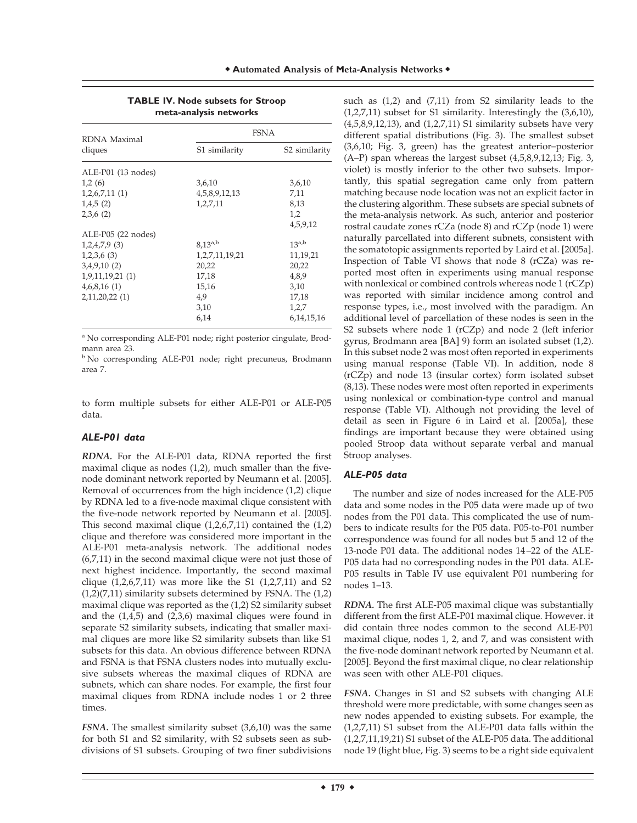| RDNA Maximal        |                | <b>FSNA</b>               |
|---------------------|----------------|---------------------------|
| cliques             | S1 similarity  | S <sub>2</sub> similarity |
| ALE-P01 (13 nodes)  |                |                           |
| 1,2(6)              | 3,6,10         | 3,6,10                    |
| 1,2,6,7,11(1)       | 4,5,8,9,12,13  | 7,11                      |
| 1,4,5(2)            | 1,2,7,11       | 8,13                      |
| 2,3,6(2)            |                | 1,2                       |
|                     |                | 4,5,9,12                  |
| $ALE-P05(22 nodes)$ |                |                           |
| $1,2,4,7,9$ (3)     | $8.13^{a,b}$   | 13 <sup>a,b</sup>         |
| $1,2,3,6$ (3)       | 1,2,7,11,19,21 | 11,19,21                  |
| 3,4,9,10(2)         | 20,22          | 20,22                     |
| 1,9,11,19,21(1)     | 17,18          | 4,8,9                     |
| 4,6,8,16(1)         | 15,16          | 3,10                      |
| 2,11,20,22 (1)      | 4,9            | 17,18                     |
|                     | 3,10           | 1,2,7                     |
|                     | 6,14           | 6,14,15,16                |

<sup>a</sup> No corresponding ALE-P01 node; right posterior cingulate, Brodmann area 23.

<sup>b</sup> No corresponding ALE-P01 node; right precuneus, Brodmann area 7.

to form multiple subsets for either ALE-P01 or ALE-P05 data.

#### *ALE-P01 data*

*RDNA.* For the ALE-P01 data, RDNA reported the first maximal clique as nodes (1,2), much smaller than the fivenode dominant network reported by Neumann et al. [2005]. Removal of occurrences from the high incidence (1,2) clique by RDNA led to a five-node maximal clique consistent with the five-node network reported by Neumann et al. [2005]. This second maximal clique (1,2,6,7,11) contained the (1,2) clique and therefore was considered more important in the ALE-P01 meta-analysis network. The additional nodes (6,7,11) in the second maximal clique were not just those of next highest incidence. Importantly, the second maximal clique  $(1,2,6,7,11)$  was more like the S1  $(1,2,7,11)$  and S2  $(1,2)(7,11)$  similarity subsets determined by FSNA. The  $(1,2)$ maximal clique was reported as the (1,2) S2 similarity subset and the  $(1,4,5)$  and  $(2,3,6)$  maximal cliques were found in separate S2 similarity subsets, indicating that smaller maximal cliques are more like S2 similarity subsets than like S1 subsets for this data. An obvious difference between RDNA and FSNA is that FSNA clusters nodes into mutually exclusive subsets whereas the maximal cliques of RDNA are subnets, which can share nodes. For example, the first four maximal cliques from RDNA include nodes 1 or 2 three times.

*FSNA.* The smallest similarity subset (3,6,10) was the same for both S1 and S2 similarity, with S2 subsets seen as subdivisions of S1 subsets. Grouping of two finer subdivisions such as (1,2) and (7,11) from S2 similarity leads to the  $(1,2,7,11)$  subset for S1 similarity. Interestingly the  $(3,6,10)$ , (4,5,8,9,12,13), and (1,2,7,11) S1 similarity subsets have very different spatial distributions (Fig. 3). The smallest subset (3,6,10; Fig. 3, green) has the greatest anterior–posterior (A–P) span whereas the largest subset (4,5,8,9,12,13; Fig. 3, violet) is mostly inferior to the other two subsets. Importantly, this spatial segregation came only from pattern matching because node location was not an explicit factor in the clustering algorithm. These subsets are special subnets of the meta-analysis network. As such, anterior and posterior rostral caudate zones rCZa (node 8) and rCZp (node 1) were naturally parcellated into different subnets, consistent with the somatotopic assignments reported by Laird et al. [2005a]. Inspection of Table VI shows that node 8 (rCZa) was reported most often in experiments using manual response with nonlexical or combined controls whereas node 1 (rCZp) was reported with similar incidence among control and response types, i.e., most involved with the paradigm. An additional level of parcellation of these nodes is seen in the S2 subsets where node 1 (rCZp) and node 2 (left inferior gyrus, Brodmann area [BA] 9) form an isolated subset (1,2). In this subset node 2 was most often reported in experiments using manual response (Table VI). In addition, node 8 (rCZp) and node 13 (insular cortex) form isolated subset (8,13). These nodes were most often reported in experiments using nonlexical or combination-type control and manual response (Table VI). Although not providing the level of detail as seen in Figure 6 in Laird et al. [2005a], these findings are important because they were obtained using pooled Stroop data without separate verbal and manual Stroop analyses.

# *ALE-P05 data*

The number and size of nodes increased for the ALE-P05 data and some nodes in the P05 data were made up of two nodes from the P01 data. This complicated the use of numbers to indicate results for the P05 data. P05-to-P01 number correspondence was found for all nodes but 5 and 12 of the 13-node P01 data. The additional nodes 14–22 of the ALE-P05 data had no corresponding nodes in the P01 data. ALE-P05 results in Table IV use equivalent P01 numbering for nodes 1–13.

*RDNA.* The first ALE-P05 maximal clique was substantially different from the first ALE-P01 maximal clique. However. it did contain three nodes common to the second ALE-P01 maximal clique, nodes 1, 2, and 7, and was consistent with the five-node dominant network reported by Neumann et al. [2005]. Beyond the first maximal clique, no clear relationship was seen with other ALE-P01 cliques.

*FSNA.* Changes in S1 and S2 subsets with changing ALE threshold were more predictable, with some changes seen as new nodes appended to existing subsets. For example, the (1,2,7,11) S1 subset from the ALE-P01 data falls within the (1,2,7,11,19,21) S1 subset of the ALE-P05 data. The additional node 19 (light blue, Fig. 3) seems to be a right side equivalent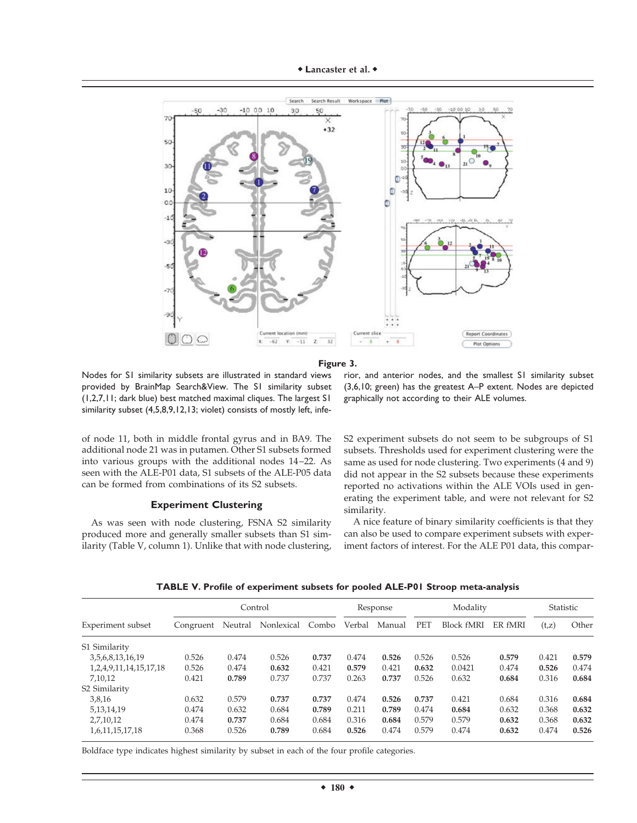

#### **Figure 3.**

Nodes for S1 similarity subsets are illustrated in standard views provided by BrainMap Search&View. The S1 similarity subset (1,2,7,11; dark blue) best matched maximal cliques. The largest S1 similarity subset (4,5,8,9,12,13; violet) consists of mostly left, infe-

of node 11, both in middle frontal gyrus and in BA9. The additional node 21 was in putamen. Other S1 subsets formed into various groups with the additional nodes 14–22. As seen with the ALE-P01 data, S1 subsets of the ALE-P05 data can be formed from combinations of its S2 subsets.

#### **Experiment Clustering**

As was seen with node clustering, FSNA S2 similarity produced more and generally smaller subsets than S1 similarity (Table V, column 1). Unlike that with node clustering,

rior, and anterior nodes, and the smallest S1 similarity subset (3,6,10; green) has the greatest A–P extent. Nodes are depicted graphically not according to their ALE volumes.

S2 experiment subsets do not seem to be subgroups of S1 subsets. Thresholds used for experiment clustering were the same as used for node clustering. Two experiments (4 and 9) did not appear in the S2 subsets because these experiments reported no activations within the ALE VOIs used in generating the experiment table, and were not relevant for S2 similarity.

A nice feature of binary similarity coefficients is that they can also be used to compare experiment subsets with experiment factors of interest. For the ALE P01 data, this compar-

|                           | Control   |         |            |       | Response |        | Modality |                   |         | Statistic |       |
|---------------------------|-----------|---------|------------|-------|----------|--------|----------|-------------------|---------|-----------|-------|
| Experiment subset         | Congruent | Neutral | Nonlexical | Combo | Verbal   | Manual | PET      | <b>Block fMRI</b> | ER fMRI | (t,z)     | Other |
| S1 Similarity             |           |         |            |       |          |        |          |                   |         |           |       |
| 3,5,6,8,13,16,19          | 0.526     | 0.474   | 0.526      | 0.737 | 0.474    | 0.526  | 0.526    | 0.526             | 0.579   | 0.421     | 0.579 |
| 1,2,4,9,11,14,15,17,18    | 0.526     | 0.474   | 0.632      | 0.421 | 0.579    | 0.421  | 0.632    | 0.0421            | 0.474   | 0.526     | 0.474 |
| 7,10,12                   | 0.421     | 0.789   | 0.737      | 0.737 | 0.263    | 0.737  | 0.526    | 0.632             | 0.684   | 0.316     | 0.684 |
| S <sub>2</sub> Similarity |           |         |            |       |          |        |          |                   |         |           |       |
| 3,8,16                    | 0.632     | 0.579   | 0.737      | 0.737 | 0.474    | 0.526  | 0.737    | 0.421             | 0.684   | 0.316     | 0.684 |
| 5, 13, 14, 19             | 0.474     | 0.632   | 0.684      | 0.789 | 0.211    | 0.789  | 0.474    | 0.684             | 0.632   | 0.368     | 0.632 |
| 2,7,10,12                 | 0.474     | 0.737   | 0.684      | 0.684 | 0.316    | 0.684  | 0.579    | 0.579             | 0.632   | 0.368     | 0.632 |
| 1,6,11,15,17,18           | 0.368     | 0.526   | 0.789      | 0.684 | 0.526    | 0.474  | 0.579    | 0.474             | 0.632   | 0.474     | 0.526 |

Boldface type indicates highest similarity by subset in each of the four profile categories.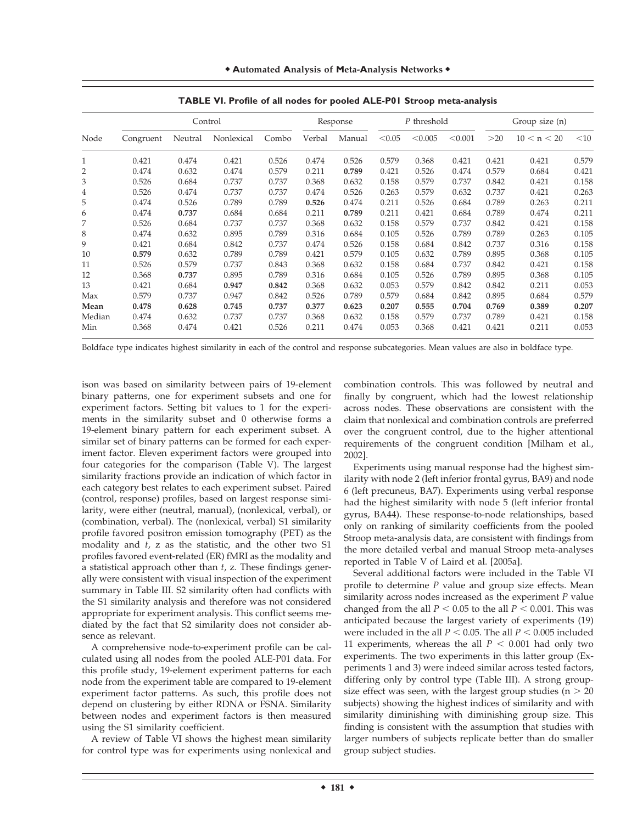|        |           | Response |            | P threshold |        |        | Group size (n) |         |         |       |             |       |
|--------|-----------|----------|------------|-------------|--------|--------|----------------|---------|---------|-------|-------------|-------|
| Node   | Congruent | Neutral  | Nonlexical | Combo       | Verbal | Manual | < 0.05         | < 0.005 | < 0.001 | >20   | 10 < n < 20 | <10   |
| 1      | 0.421     | 0.474    | 0.421      | 0.526       | 0.474  | 0.526  | 0.579          | 0.368   | 0.421   | 0.421 | 0.421       | 0.579 |
| 2      | 0.474     | 0.632    | 0.474      | 0.579       | 0.211  | 0.789  | 0.421          | 0.526   | 0.474   | 0.579 | 0.684       | 0.421 |
| 3      | 0.526     | 0.684    | 0.737      | 0.737       | 0.368  | 0.632  | 0.158          | 0.579   | 0.737   | 0.842 | 0.421       | 0.158 |
| 4      | 0.526     | 0.474    | 0.737      | 0.737       | 0.474  | 0.526  | 0.263          | 0.579   | 0.632   | 0.737 | 0.421       | 0.263 |
| 5      | 0.474     | 0.526    | 0.789      | 0.789       | 0.526  | 0.474  | 0.211          | 0.526   | 0.684   | 0.789 | 0.263       | 0.211 |
| 6      | 0.474     | 0.737    | 0.684      | 0.684       | 0.211  | 0.789  | 0.211          | 0.421   | 0.684   | 0.789 | 0.474       | 0.211 |
| 7      | 0.526     | 0.684    | 0.737      | 0.737       | 0.368  | 0.632  | 0.158          | 0.579   | 0.737   | 0.842 | 0.421       | 0.158 |
| 8      | 0.474     | 0.632    | 0.895      | 0.789       | 0.316  | 0.684  | 0.105          | 0.526   | 0.789   | 0.789 | 0.263       | 0.105 |
| 9      | 0.421     | 0.684    | 0.842      | 0.737       | 0.474  | 0.526  | 0.158          | 0.684   | 0.842   | 0.737 | 0.316       | 0.158 |
| 10     | 0.579     | 0.632    | 0.789      | 0.789       | 0.421  | 0.579  | 0.105          | 0.632   | 0.789   | 0.895 | 0.368       | 0.105 |
| 11     | 0.526     | 0.579    | 0.737      | 0.843       | 0.368  | 0.632  | 0.158          | 0.684   | 0.737   | 0.842 | 0.421       | 0.158 |
| 12     | 0.368     | 0.737    | 0.895      | 0.789       | 0.316  | 0.684  | 0.105          | 0.526   | 0.789   | 0.895 | 0.368       | 0.105 |
| 13     | 0.421     | 0.684    | 0.947      | 0.842       | 0.368  | 0.632  | 0.053          | 0.579   | 0.842   | 0.842 | 0.211       | 0.053 |
| Max    | 0.579     | 0.737    | 0.947      | 0.842       | 0.526  | 0.789  | 0.579          | 0.684   | 0.842   | 0.895 | 0.684       | 0.579 |
| Mean   | 0.478     | 0.628    | 0.745      | 0.737       | 0.377  | 0.623  | 0.207          | 0.555   | 0.704   | 0.769 | 0.389       | 0.207 |
| Median | 0.474     | 0.632    | 0.737      | 0.737       | 0.368  | 0.632  | 0.158          | 0.579   | 0.737   | 0.789 | 0.421       | 0.158 |
| Min    | 0.368     | 0.474    | 0.421      | 0.526       | 0.211  | 0.474  | 0.053          | 0.368   | 0.421   | 0.421 | 0.211       | 0.053 |

! **Automated Analysis of Meta-Analysis Networks** !

**TABLE VI. Profile of all nodes for pooled ALE-P01 Stroop meta-analysis**

Boldface type indicates highest similarity in each of the control and response subcategories. Mean values are also in boldface type.

ison was based on similarity between pairs of 19-element binary patterns, one for experiment subsets and one for experiment factors. Setting bit values to 1 for the experiments in the similarity subset and 0 otherwise forms a 19-element binary pattern for each experiment subset. A similar set of binary patterns can be formed for each experiment factor. Eleven experiment factors were grouped into four categories for the comparison (Table V). The largest similarity fractions provide an indication of which factor in each category best relates to each experiment subset. Paired (control, response) profiles, based on largest response similarity, were either (neutral, manual), (nonlexical, verbal), or (combination, verbal). The (nonlexical, verbal) S1 similarity profile favored positron emission tomography (PET) as the modality and *t*, z as the statistic, and the other two S1 profiles favored event-related (ER) fMRI as the modality and a statistical approach other than *t*, z. These findings generally were consistent with visual inspection of the experiment summary in Table III. S2 similarity often had conflicts with the S1 similarity analysis and therefore was not considered appropriate for experiment analysis. This conflict seems mediated by the fact that S2 similarity does not consider absence as relevant.

A comprehensive node-to-experiment profile can be calculated using all nodes from the pooled ALE-P01 data. For this profile study, 19-element experiment patterns for each node from the experiment table are compared to 19-element experiment factor patterns. As such, this profile does not depend on clustering by either RDNA or FSNA. Similarity between nodes and experiment factors is then measured using the S1 similarity coefficient.

A review of Table VI shows the highest mean similarity for control type was for experiments using nonlexical and

combination controls. This was followed by neutral and finally by congruent, which had the lowest relationship across nodes. These observations are consistent with the claim that nonlexical and combination controls are preferred over the congruent control, due to the higher attentional requirements of the congruent condition [Milham et al., 2002].

Experiments using manual response had the highest similarity with node 2 (left inferior frontal gyrus, BA9) and node 6 (left precuneus, BA7). Experiments using verbal response had the highest similarity with node 5 (left inferior frontal gyrus, BA44). These response-to-node relationships, based only on ranking of similarity coefficients from the pooled Stroop meta-analysis data, are consistent with findings from the more detailed verbal and manual Stroop meta-analyses reported in Table V of Laird et al. [2005a].

Several additional factors were included in the Table VI profile to determine *P* value and group size effects. Mean similarity across nodes increased as the experiment *P* value changed from the all  $P < 0.05$  to the all  $P < 0.001$ . This was anticipated because the largest variety of experiments (19) were included in the all  $P < 0.05$ . The all  $P < 0.005$  included 11 experiments, whereas the all  $P < 0.001$  had only two experiments. The two experiments in this latter group (Experiments 1 and 3) were indeed similar across tested factors, differing only by control type (Table III). A strong groupsize effect was seen, with the largest group studies ( $n > 20$ subjects) showing the highest indices of similarity and with similarity diminishing with diminishing group size. This finding is consistent with the assumption that studies with larger numbers of subjects replicate better than do smaller group subject studies.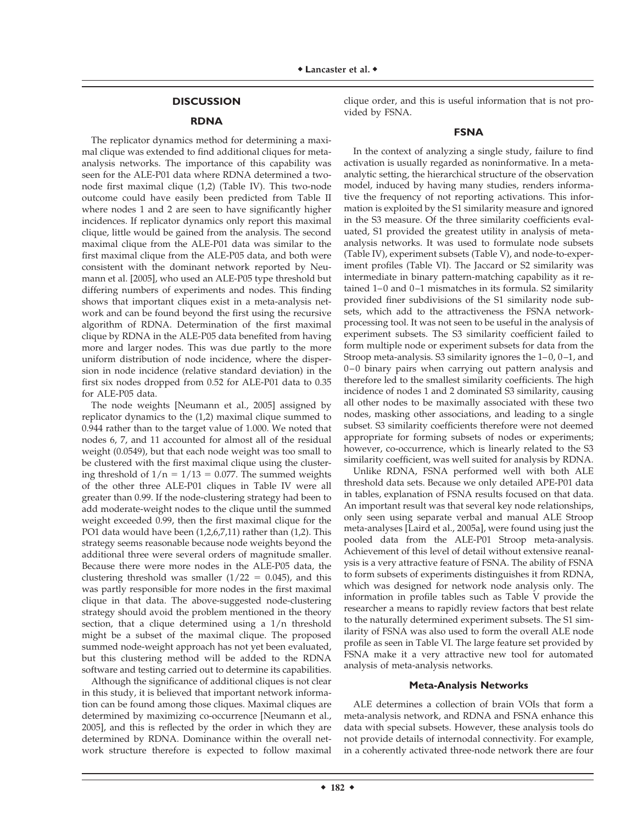# **DISCUSSION**

# **RDNA**

The replicator dynamics method for determining a maximal clique was extended to find additional cliques for metaanalysis networks. The importance of this capability was seen for the ALE-P01 data where RDNA determined a twonode first maximal clique (1,2) (Table IV). This two-node outcome could have easily been predicted from Table II where nodes 1 and 2 are seen to have significantly higher incidences. If replicator dynamics only report this maximal clique, little would be gained from the analysis. The second maximal clique from the ALE-P01 data was similar to the first maximal clique from the ALE-P05 data, and both were consistent with the dominant network reported by Neumann et al. [2005], who used an ALE-P05 type threshold but differing numbers of experiments and nodes. This finding shows that important cliques exist in a meta-analysis network and can be found beyond the first using the recursive algorithm of RDNA. Determination of the first maximal clique by RDNA in the ALE-P05 data benefited from having more and larger nodes. This was due partly to the more uniform distribution of node incidence, where the dispersion in node incidence (relative standard deviation) in the first six nodes dropped from 0.52 for ALE-P01 data to 0.35 for ALE-P05 data.

The node weights [Neumann et al., 2005] assigned by replicator dynamics to the (1,2) maximal clique summed to 0.944 rather than to the target value of 1.000. We noted that nodes 6, 7, and 11 accounted for almost all of the residual weight (0.0549), but that each node weight was too small to be clustered with the first maximal clique using the clustering threshold of  $1/n = 1/13 = 0.077$ . The summed weights of the other three ALE-P01 cliques in Table IV were all greater than 0.99. If the node-clustering strategy had been to add moderate-weight nodes to the clique until the summed weight exceeded 0.99, then the first maximal clique for the PO1 data would have been (1,2,6,7,11) rather than (1,2). This strategy seems reasonable because node weights beyond the additional three were several orders of magnitude smaller. Because there were more nodes in the ALE-P05 data, the clustering threshold was smaller  $(1/22 = 0.045)$ , and this was partly responsible for more nodes in the first maximal clique in that data. The above-suggested node-clustering strategy should avoid the problem mentioned in the theory section, that a clique determined using a 1/n threshold might be a subset of the maximal clique. The proposed summed node-weight approach has not yet been evaluated, but this clustering method will be added to the RDNA software and testing carried out to determine its capabilities.

Although the significance of additional cliques is not clear in this study, it is believed that important network information can be found among those cliques. Maximal cliques are determined by maximizing co-occurrence [Neumann et al., 2005], and this is reflected by the order in which they are determined by RDNA. Dominance within the overall network structure therefore is expected to follow maximal

clique order, and this is useful information that is not provided by FSNA.

#### **FSNA**

In the context of analyzing a single study, failure to find activation is usually regarded as noninformative. In a metaanalytic setting, the hierarchical structure of the observation model, induced by having many studies, renders informative the frequency of not reporting activations. This information is exploited by the S1 similarity measure and ignored in the S3 measure. Of the three similarity coefficients evaluated, S1 provided the greatest utility in analysis of metaanalysis networks. It was used to formulate node subsets (Table IV), experiment subsets (Table V), and node-to-experiment profiles (Table VI). The Jaccard or S2 similarity was intermediate in binary pattern-matching capability as it retained 1–0 and 0–1 mismatches in its formula. S2 similarity provided finer subdivisions of the S1 similarity node subsets, which add to the attractiveness the FSNA networkprocessing tool. It was not seen to be useful in the analysis of experiment subsets. The S3 similarity coefficient failed to form multiple node or experiment subsets for data from the Stroop meta-analysis. S3 similarity ignores the 1–0, 0–1, and 0–0 binary pairs when carrying out pattern analysis and therefore led to the smallest similarity coefficients. The high incidence of nodes 1 and 2 dominated S3 similarity, causing all other nodes to be maximally associated with these two nodes, masking other associations, and leading to a single subset. S3 similarity coefficients therefore were not deemed appropriate for forming subsets of nodes or experiments; however, co-occurrence, which is linearly related to the S3 similarity coefficient, was well suited for analysis by RDNA.

Unlike RDNA, FSNA performed well with both ALE threshold data sets. Because we only detailed APE-P01 data in tables, explanation of FSNA results focused on that data. An important result was that several key node relationships, only seen using separate verbal and manual ALE Stroop meta-analyses [Laird et al., 2005a], were found using just the pooled data from the ALE-P01 Stroop meta-analysis. Achievement of this level of detail without extensive reanalysis is a very attractive feature of FSNA. The ability of FSNA to form subsets of experiments distinguishes it from RDNA, which was designed for network node analysis only. The information in profile tables such as Table V provide the researcher a means to rapidly review factors that best relate to the naturally determined experiment subsets. The S1 similarity of FSNA was also used to form the overall ALE node profile as seen in Table VI. The large feature set provided by FSNA make it a very attractive new tool for automated analysis of meta-analysis networks.

## **Meta-Analysis Networks**

ALE determines a collection of brain VOIs that form a meta-analysis network, and RDNA and FSNA enhance this data with special subsets. However, these analysis tools do not provide details of internodal connectivity. For example, in a coherently activated three-node network there are four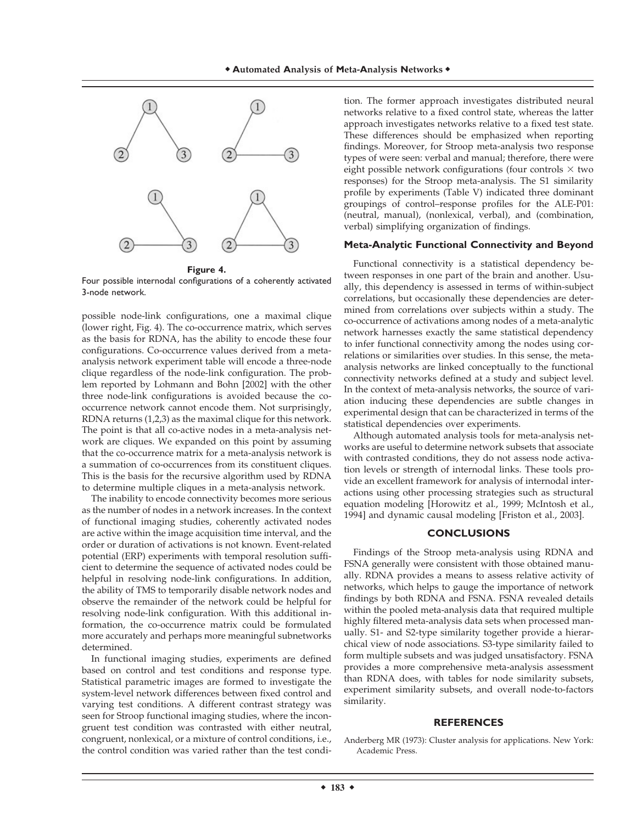

Four possible internodal configurations of a coherently activated 3-node network.

possible node-link configurations, one a maximal clique (lower right, Fig. 4). The co-occurrence matrix, which serves as the basis for RDNA, has the ability to encode these four configurations. Co-occurrence values derived from a metaanalysis network experiment table will encode a three-node clique regardless of the node-link configuration. The problem reported by Lohmann and Bohn [2002] with the other three node-link configurations is avoided because the cooccurrence network cannot encode them. Not surprisingly, RDNA returns (1,2,3) as the maximal clique for this network. The point is that all co-active nodes in a meta-analysis network are cliques. We expanded on this point by assuming that the co-occurrence matrix for a meta-analysis network is a summation of co-occurrences from its constituent cliques. This is the basis for the recursive algorithm used by RDNA to determine multiple cliques in a meta-analysis network.

The inability to encode connectivity becomes more serious as the number of nodes in a network increases. In the context of functional imaging studies, coherently activated nodes are active within the image acquisition time interval, and the order or duration of activations is not known. Event-related potential (ERP) experiments with temporal resolution sufficient to determine the sequence of activated nodes could be helpful in resolving node-link configurations. In addition, the ability of TMS to temporarily disable network nodes and observe the remainder of the network could be helpful for resolving node-link configuration. With this additional information, the co-occurrence matrix could be formulated more accurately and perhaps more meaningful subnetworks determined.

In functional imaging studies, experiments are defined based on control and test conditions and response type. Statistical parametric images are formed to investigate the system-level network differences between fixed control and varying test conditions. A different contrast strategy was seen for Stroop functional imaging studies, where the incongruent test condition was contrasted with either neutral, congruent, nonlexical, or a mixture of control conditions, i.e., the control condition was varied rather than the test condition. The former approach investigates distributed neural networks relative to a fixed control state, whereas the latter approach investigates networks relative to a fixed test state. These differences should be emphasized when reporting findings. Moreover, for Stroop meta-analysis two response types of were seen: verbal and manual; therefore, there were eight possible network configurations (four controls  $\times$  two responses) for the Stroop meta-analysis. The S1 similarity profile by experiments (Table V) indicated three dominant groupings of control–response profiles for the ALE-P01: (neutral, manual), (nonlexical, verbal), and (combination, verbal) simplifying organization of findings.

## **Meta-Analytic Functional Connectivity and Beyond**

Functional connectivity is a statistical dependency between responses in one part of the brain and another. Usually, this dependency is assessed in terms of within-subject correlations, but occasionally these dependencies are determined from correlations over subjects within a study. The co-occurrence of activations among nodes of a meta-analytic network harnesses exactly the same statistical dependency to infer functional connectivity among the nodes using correlations or similarities over studies. In this sense, the metaanalysis networks are linked conceptually to the functional connectivity networks defined at a study and subject level. In the context of meta-analysis networks, the source of variation inducing these dependencies are subtle changes in experimental design that can be characterized in terms of the statistical dependencies over experiments.

Although automated analysis tools for meta-analysis networks are useful to determine network subsets that associate with contrasted conditions, they do not assess node activation levels or strength of internodal links. These tools provide an excellent framework for analysis of internodal interactions using other processing strategies such as structural equation modeling [Horowitz et al., 1999; McIntosh et al., 1994] and dynamic causal modeling [Friston et al., 2003].

#### **CONCLUSIONS**

Findings of the Stroop meta-analysis using RDNA and FSNA generally were consistent with those obtained manually. RDNA provides a means to assess relative activity of networks, which helps to gauge the importance of network findings by both RDNA and FSNA. FSNA revealed details within the pooled meta-analysis data that required multiple highly filtered meta-analysis data sets when processed manually. S1- and S2-type similarity together provide a hierarchical view of node associations. S3-type similarity failed to form multiple subsets and was judged unsatisfactory. FSNA provides a more comprehensive meta-analysis assessment than RDNA does, with tables for node similarity subsets, experiment similarity subsets, and overall node-to-factors similarity.

#### **REFERENCES**

Anderberg MR (1973): Cluster analysis for applications. New York: Academic Press.